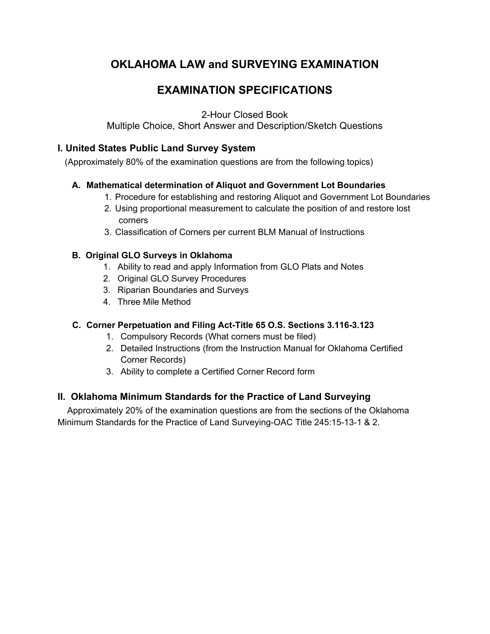# **OKLAHOMA LAW and SURVEYING EXAMINATION**

## **EXAMINATION SPECIFICATIONS**

2-Hour Closed Book

Multiple Choice, Short Answer and Description/Sketch Questions

## **I. United States Public Land Survey System**

(Approximately 80% of the examination questions are from the following topics)

### **A. Mathematical determination of Aliquot and Government Lot Boundaries**

- 1. Procedure for establishing and restoring Aliquot and Government Lot Boundaries
- 2. Using proportional measurement to calculate the position of and restore lost corners
- 3. Classification of Corners per current BLM Manual of Instructions

### **B. Original GLO Surveys in Oklahoma**

- 1. Ability to read and apply Information from GLO Plats and Notes
- 2. Original GLO Survey Procedures
- 3. Riparian Boundaries and Surveys
- 4. Three Mile Method

## **C. Corner Perpetuation and Filing Act-Title 65 O.S. Sections 3.116-3.123**

- 1. Compulsory Records (What corners must be filed)
- 2. Detailed Instructions (from the Instruction Manual for Oklahoma Certified Corner Records)
- 3. Ability to complete a Certified Corner Record form

## **II. Oklahoma Minimum Standards for the Practice of Land Surveying**

 Approximately 20% of the examination questions are from the sections of the Oklahoma Minimum Standards for the Practice of Land Surveying-OAC Title 245:15-13-1 & 2.